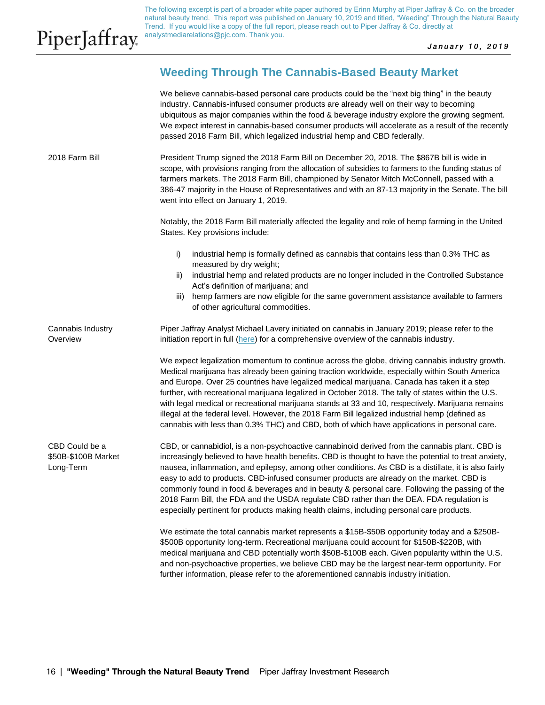The following excerpt is part of a broader white paper authored by Erinn Murphy at Piper Jaffray & Co. on the broader natural beauty trend. This report was published on January 10, 2019 and titled, "Weeding" Through the Natural Beauty Trend. If you would like a copy of the full report, please reach out to Piper Jaffray & Co. directly at analystmediarelations@pjc.com. Thank you.

January 10, 2019

# **Weeding Through The Cannabis-Based Beauty Market**

We believe cannabis-based personal care products could be the "next big thing" in the beauty industry. Cannabis-infused consumer products are already well on their way to becoming ubiquitous as major companies within the food & beverage industry explore the growing segment. We expect interest in cannabis-based consumer products will accelerate as a result of the recently passed 2018 Farm Bill, which legalized industrial hemp and CBD federally.

President Trump signed the 2018 Farm Bill on December 20, 2018. The \$867B bill is wide in scope, with provisions ranging from the allocation of subsidies to farmers to the funding status of farmers markets. The 2018 Farm Bill, championed by Senator Mitch McConnell, passed with a 386-47 majority in the House of Representatives and with an 87-13 majority in the Senate. The bill went into effect on January 1, 2019. 2018 Farm Bill

> Notably, the 2018 Farm Bill materially affected the legality and role of hemp farming in the United States. Key provisions include:

- i) industrial hemp is formally defined as cannabis that contains less than  $0.3\%$  THC as measured by dry weight;
- ii) industrial hemp and related products are no longer included in the Controlled Substance Act's definition of marijuana; and
- iii) hemp farmers are now eligible for the same government assistance available to farmers of other agricultural commodities.

Piper Jaffray Analyst Michael Lavery initiated on cannabis in January 2019; please refer to the initiation report in full [\(here\)](https://piper2.bluematrix.com/sellside/EmailDocViewer?encrypt=5e621e9f-3090-4d6f-a627-135b2de1ae16&mime=PDF&co=Piper&id=christian.m.yonkoski@pjc.com&source=libraryView&htmlToPdf=true) for a comprehensive overview of the cannabis industry. Cannabis Industry **Overview** 

> We expect legalization momentum to continue across the globe, driving cannabis industry growth. Medical marijuana has already been gaining traction worldwide, especially within South America and Europe. Over 25 countries have legalized medical marijuana. Canada has taken it a step further, with recreational marijuana legalized in October 2018. The tally of states within the U.S. with legal medical or recreational marijuana stands at 33 and 10, respectively. Marijuana remains illegal at the federal level. However, the 2018 Farm Bill legalized industrial hemp (defined as cannabis with less than 0.3% THC) and CBD, both of which have applications in personal care.

CBD, or cannabidiol, is a non-psychoactive cannabinoid derived from the cannabis plant. CBD is increasingly believed to have health benefits. CBD is thought to have the potential to treat anxiety, nausea, inflammation, and epilepsy, among other conditions. As CBD is a distillate, it is also fairly easy to add to products. CBD-infused consumer products are already on the market. CBD is commonly found in food & beverages and in beauty & personal care. Following the passing of the 2018 Farm Bill, the FDA and the USDA regulate CBD rather than the DEA. FDA regulation is especially pertinent for products making health claims, including personal care products. CBD Could be a \$50B-\$100B Market Long-Term

> We estimate the total cannabis market represents a \$15B-\$50B opportunity today and a \$250B- \$500B opportunity long-term. Recreational marijuana could account for \$150B-\$220B, with medical marijuana and CBD potentially worth \$50B-\$100B each. Given popularity within the U.S. and non-psychoactive properties, we believe CBD may be the largest near-term opportunity. For further information, please refer to the aforementioned cannabis industry initiation.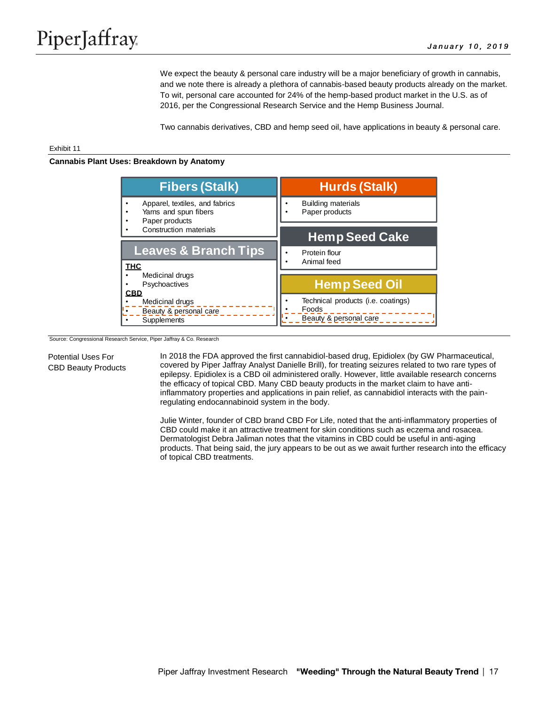We expect the beauty & personal care industry will be a major beneficiary of growth in cannabis, and we note there is already a plethora of cannabis-based beauty products already on the market. To wit, personal care accounted for 24% of the hemp-based product market in the U.S. as of 2016, per the Congressional Research Service and the Hemp Business Journal.

Two cannabis derivatives, CBD and hemp seed oil, have applications in beauty & personal care.

#### Exhibit 11

**Cannabis Plant Uses: Breakdown by Anatomy**



Source: Congressional Research Service, Piper Jaffray & Co. Research

Potential Uses For CBD Beauty Products In 2018 the FDA approved the first cannabidiol-based drug, Epidiolex (by GW Pharmaceutical, covered by Piper Jaffray Analyst Danielle Brill), for treating seizures related to two rare types of epilepsy. Epidiolex is a CBD oil administered orally. However, little available research concerns the efficacy of topical CBD. Many CBD beauty products in the market claim to have antiinflammatory properties and applications in pain relief, as cannabidiol interacts with the painregulating endocannabinoid system in the body.

Julie Winter, founder of CBD brand CBD For Life, noted that the anti-inflammatory properties of CBD could make it an attractive treatment for skin conditions such as eczema and rosacea. Dermatologist Debra Jaliman notes that the vitamins in CBD could be useful in anti-aging products. That being said, the jury appears to be out as we await further research into the efficacy of topical CBD treatments.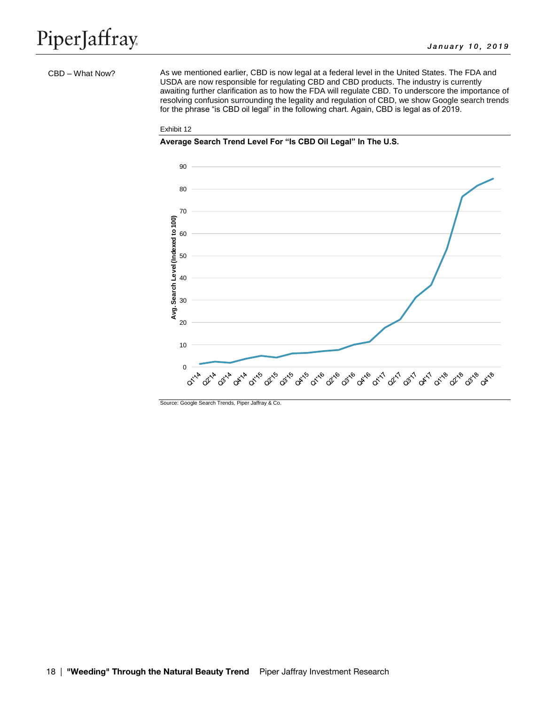#### CBD – What Now?

As we mentioned earlier, CBD is now legal at a federal level in the United States. The FDA and USDA are now responsible for regulating CBD and CBD products. The industry is currently awaiting further clarification as to how the FDA will regulate CBD. To underscore the importance of resolving confusion surrounding the legality and regulation of CBD, we show Google search trends for the phrase "is CBD oil legal" in the following chart. Again, CBD is legal as of 2019.

#### Exhibit 12





Source: Google Search Trends, Piper Jaffray & Co.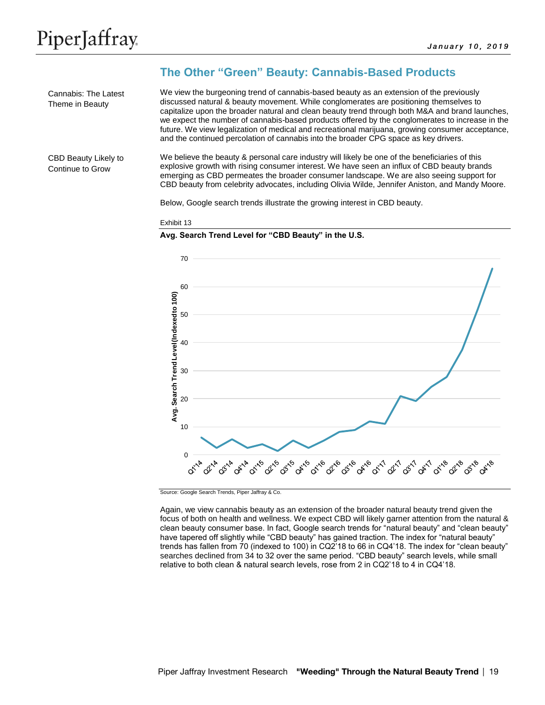Cannabis: The Latest Theme in Beauty

# **The Other "Green" Beauty: Cannabis-Based Products**

We view the burgeoning trend of cannabis-based beauty as an extension of the previously discussed natural & beauty movement. While conglomerates are positioning themselves to capitalize upon the broader natural and clean beauty trend through both M&A and brand launches, we expect the number of cannabis-based products offered by the conglomerates to increase in the future. We view legalization of medical and recreational marijuana, growing consumer acceptance, and the continued percolation of cannabis into the broader CPG space as key drivers.

CBD Beauty Likely to Continue to Grow

We believe the beauty & personal care industry will likely be one of the beneficiaries of this explosive growth with rising consumer interest. We have seen an influx of CBD beauty brands emerging as CBD permeates the broader consumer landscape. We are also seeing support for CBD beauty from celebrity advocates, including Olivia Wilde, Jennifer Aniston, and Mandy Moore.

Below, Google search trends illustrate the growing interest in CBD beauty.

#### Exhibit 13

#### **Avg. Search Trend Level for "CBD Beauty" in the U.S.**



Source: Google Search Trends, Piper Jaffray & Co.

Again, we view cannabis beauty as an extension of the broader natural beauty trend given the focus of both on health and wellness. We expect CBD will likely garner attention from the natural & clean beauty consumer base. In fact, Google search trends for "natural beauty" and "clean beauty" have tapered off slightly while "CBD beauty" has gained traction. The index for "natural beauty" trends has fallen from 70 (indexed to 100) in CQ2'18 to 66 in CQ4'18. The index for "clean beauty" searches declined from 34 to 32 over the same period. "CBD beauty" search levels, while small relative to both clean & natural search levels, rose from 2 in CQ2'18 to 4 in CQ4'18.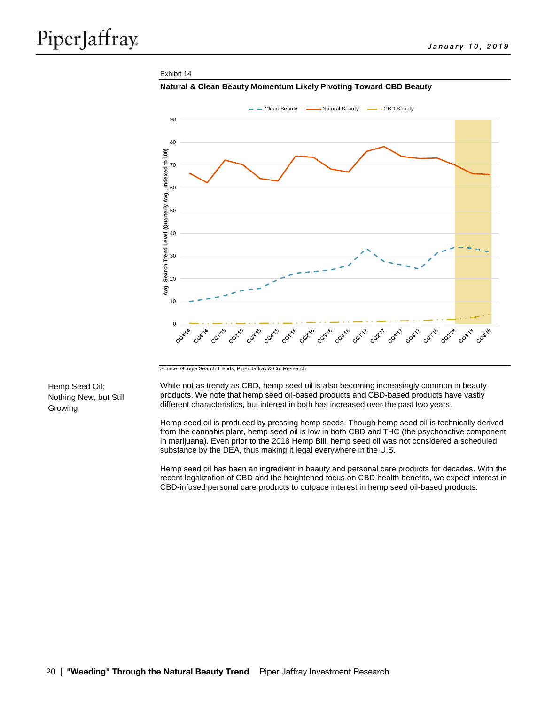#### Exhibit 14





Source: Google Search Trends, Piper Jaffray & Co. Research

Hemp Seed Oil: Nothing New, but Still Growing

While not as trendy as CBD, hemp seed oil is also becoming increasingly common in beauty products. We note that hemp seed oil-based products and CBD-based products have vastly different characteristics, but interest in both has increased over the past two years.

Hemp seed oil is produced by pressing hemp seeds. Though hemp seed oil is technically derived from the cannabis plant, hemp seed oil is low in both CBD and THC (the psychoactive component in marijuana). Even prior to the 2018 Hemp Bill, hemp seed oil was not considered a scheduled substance by the DEA, thus making it legal everywhere in the U.S.

Hemp seed oil has been an ingredient in beauty and personal care products for decades. With the recent legalization of CBD and the heightened focus on CBD health benefits, we expect interest in CBD-infused personal care products to outpace interest in hemp seed oil-based products.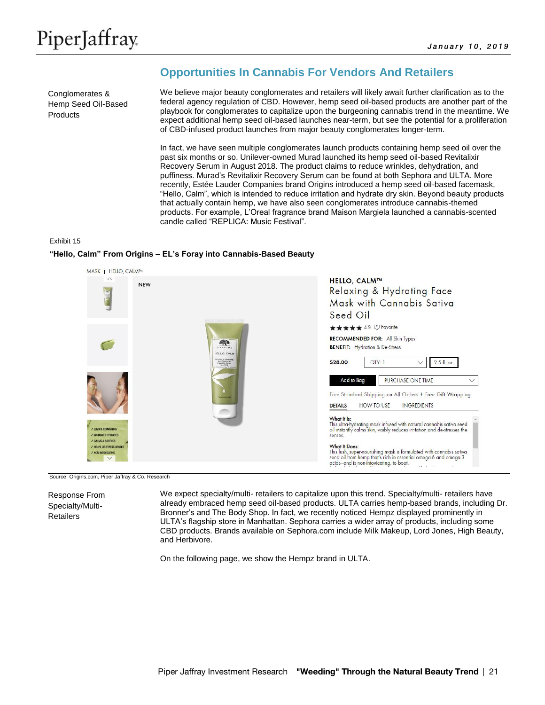Conglomerates & Hemp Seed Oil-Based **Products** 

# **Opportunities In Cannabis For Vendors And Retailers**

We believe major beauty conglomerates and retailers will likely await further clarification as to the federal agency regulation of CBD. However, hemp seed oil-based products are another part of the playbook for conglomerates to capitalize upon the burgeoning cannabis trend in the meantime. We expect additional hemp seed oil-based launches near-term, but see the potential for a proliferation of CBD-infused product launches from major beauty conglomerates longer-term.

In fact, we have seen multiple conglomerates launch products containing hemp seed oil over the past six months or so. Unilever-owned Murad launched its hemp seed oil-based Revitalixir Recovery Serum in August 2018. The product claims to reduce wrinkles, dehydration, and puffiness. Murad's Revitalixir Recovery Serum can be found at both Sephora and ULTA. More recently, Estée Lauder Companies brand Origins introduced a hemp seed oil-based facemask, "Hello, Calm", which is intended to reduce irritation and hydrate dry skin. Beyond beauty products that actually contain hemp, we have also seen conglomerates introduce cannabis-themed products. For example, L'Oreal fragrance brand Maison Margiela launched a cannabis-scented candle called "REPLICA: Music Festival".

#### Exhibit 15

## **"Hello, Calm" From Origins – EL's Foray into Cannabis-Based Beauty**



Source: Origins.com, Piper Jaffray & Co. Research

Response From Specialty/Multi-**Retailers** 

We expect specialty/multi- retailers to capitalize upon this trend. Specialty/multi- retailers have already embraced hemp seed oil-based products. ULTA carries hemp-based brands, including Dr. Bronner's and The Body Shop. In fact, we recently noticed Hempz displayed prominently in ULTA's flagship store in Manhattan. Sephora carries a wider array of products, including some CBD products. Brands available on Sephora.com include Milk Makeup, Lord Jones, High Beauty, and Herbivore.

On the following page, we show the Hempz brand in ULTA.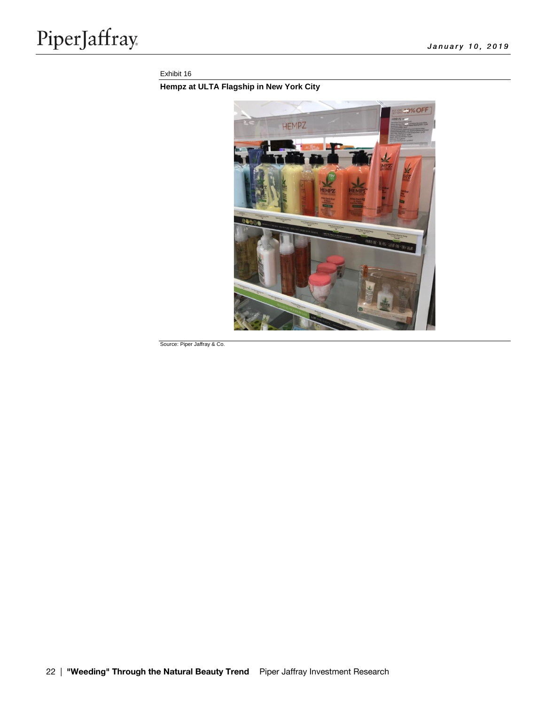## Exhibit 16

# **Hempz at ULTA Flagship in New York City**



Source: Piper Jaffray & Co.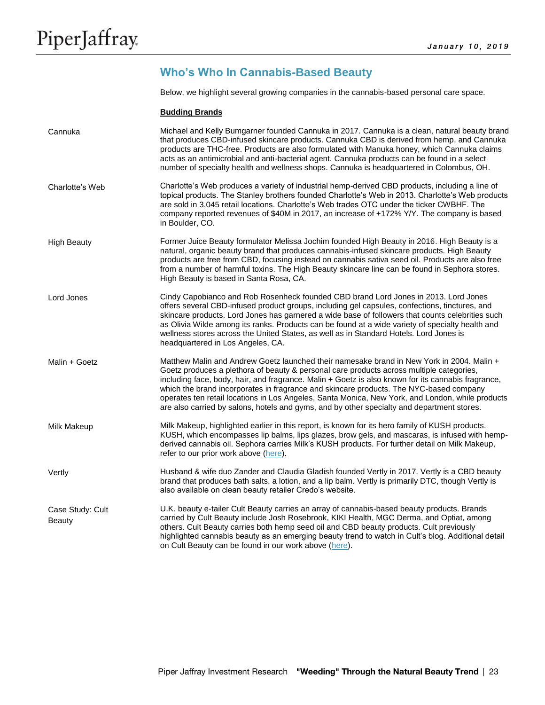# **Who's Who In Cannabis-Based Beauty**

Below, we highlight several growing companies in the cannabis-based personal care space.

|  |  | <b>Budding Brands</b> |  |
|--|--|-----------------------|--|
|  |  |                       |  |

| Cannuka                           | Michael and Kelly Bumgarner founded Cannuka in 2017. Cannuka is a clean, natural beauty brand<br>that produces CBD-infused skincare products. Cannuka CBD is derived from hemp, and Cannuka<br>products are THC-free. Products are also formulated with Manuka honey, which Cannuka claims<br>acts as an antimicrobial and anti-bacterial agent. Cannuka products can be found in a select<br>number of specialty health and wellness shops. Cannuka is headquartered in Colombus, OH.                                                                                                  |
|-----------------------------------|-----------------------------------------------------------------------------------------------------------------------------------------------------------------------------------------------------------------------------------------------------------------------------------------------------------------------------------------------------------------------------------------------------------------------------------------------------------------------------------------------------------------------------------------------------------------------------------------|
| Charlotte's Web                   | Charlotte's Web produces a variety of industrial hemp-derived CBD products, including a line of<br>topical products. The Stanley brothers founded Charlotte's Web in 2013. Charlotte's Web products<br>are sold in 3,045 retail locations. Charlotte's Web trades OTC under the ticker CWBHF. The<br>company reported revenues of \$40M in 2017, an increase of +172% Y/Y. The company is based<br>in Boulder, CO.                                                                                                                                                                      |
| <b>High Beauty</b>                | Former Juice Beauty formulator Melissa Jochim founded High Beauty in 2016. High Beauty is a<br>natural, organic beauty brand that produces cannabis-infused skincare products. High Beauty<br>products are free from CBD, focusing instead on cannabis sativa seed oil. Products are also free<br>from a number of harmful toxins. The High Beauty skincare line can be found in Sephora stores.<br>High Beauty is based in Santa Rosa, CA.                                                                                                                                             |
| Lord Jones                        | Cindy Capobianco and Rob Rosenheck founded CBD brand Lord Jones in 2013. Lord Jones<br>offers several CBD-infused product groups, including gel capsules, confections, tinctures, and<br>skincare products. Lord Jones has garnered a wide base of followers that counts celebrities such<br>as Olivia Wilde among its ranks. Products can be found at a wide variety of specialty health and<br>wellness stores across the United States, as well as in Standard Hotels. Lord Jones is<br>headquartered in Los Angeles, CA.                                                            |
| Malin + Goetz                     | Matthew Malin and Andrew Goetz launched their namesake brand in New York in 2004. Malin +<br>Goetz produces a plethora of beauty & personal care products across multiple categories,<br>including face, body, hair, and fragrance. Malin + Goetz is also known for its cannabis fragrance,<br>which the brand incorporates in fragrance and skincare products. The NYC-based company<br>operates ten retail locations in Los Angeles, Santa Monica, New York, and London, while products<br>are also carried by salons, hotels and gyms, and by other specialty and department stores. |
| Milk Makeup                       | Milk Makeup, highlighted earlier in this report, is known for its hero family of KUSH products.<br>KUSH, which encompasses lip balms, lips glazes, brow gels, and mascaras, is infused with hemp-<br>derived cannabis oil. Sephora carries Milk's KUSH products. For further detail on Milk Makeup,<br>refer to our prior work above (here).                                                                                                                                                                                                                                            |
| Vertly                            | Husband & wife duo Zander and Claudia Gladish founded Vertly in 2017. Vertly is a CBD beauty<br>brand that produces bath salts, a lotion, and a lip balm. Vertly is primarily DTC, though Vertly is<br>also available on clean beauty retailer Credo's website.                                                                                                                                                                                                                                                                                                                         |
| Case Study: Cult<br><b>Beauty</b> | U.K. beauty e-tailer Cult Beauty carries an array of cannabis-based beauty products. Brands<br>carried by Cult Beauty include Josh Rosebrook, KIKI Health, MGC Derma, and Optiat, among<br>others. Cult Beauty carries both hemp seed oil and CBD beauty products. Cult previously<br>highlighted cannabis beauty as an emerging beauty trend to watch in Cult's blog. Additional detail<br>on Cult Beauty can be found in our work above (here).                                                                                                                                       |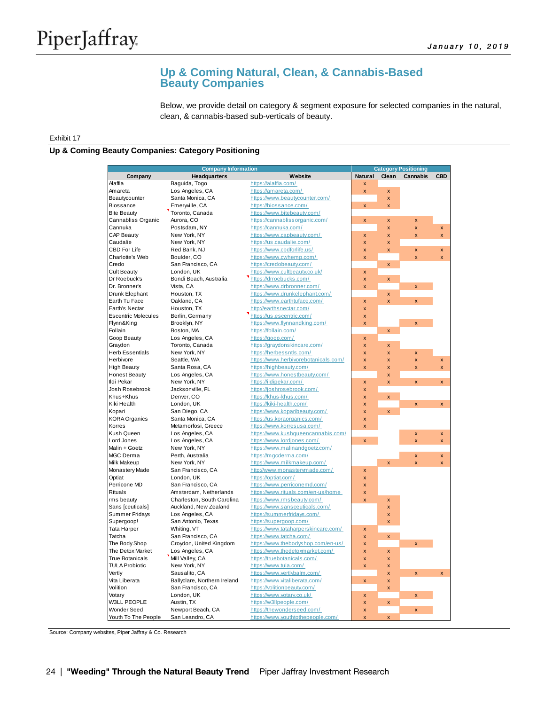# **Up & Coming Natural, Clean, & Cannabis-Based Beauty Companies**

Below, we provide detail on category & segment exposure for selected companies in the natural, clean, & cannabis-based sub-verticals of beauty.

#### Exhibit 17

#### **Up & Coming Beauty Companies: Category Positioning**

|                            | <b>Category Positioning</b>  |                                      |                         |                         |                         |                         |
|----------------------------|------------------------------|--------------------------------------|-------------------------|-------------------------|-------------------------|-------------------------|
| Company                    | <b>Headquarters</b>          | Website                              | <b>Natural</b>          | Clean                   | <b>Cannabis</b>         | <b>CBD</b>              |
| Alaffia                    | Baguida, Togo                | https://alaffia.com/                 |                         |                         |                         |                         |
| Amareta                    | Los Angeles, CA              | https://amareta.com/                 | x                       | X                       |                         |                         |
| Beautycounter              | Santa Monica, CA             | https://www.beautycounter.com/       |                         | $\mathsf{x}$            |                         |                         |
| <b>Biossance</b>           | Emerwille, CA                | https://biossance.com/               | <b>x</b>                | $\overline{\mathsf{x}}$ |                         |                         |
| <b>Bite Beauty</b>         | Toronto, Canada              | https://www.bitebeauty.com/          |                         |                         |                         |                         |
| Cannabliss Organic         | Aurora, CO                   | https://cannablissorganic.com/       | X                       | X                       | X                       |                         |
| Cannuka                    | Postsdam, NY                 | https://cannuka.com/                 |                         | X                       | $\pmb{\mathsf{x}}$      | X                       |
| <b>CAP Beauty</b>          | New York, NY                 | https://www.capbeauty.com/           | $\pmb{\times}$          | $\overline{\mathbf{x}}$ | x                       | x                       |
| Caudalie                   | New York, NY                 | https://us.caudalie.com/             | x                       | $\overline{\mathsf{x}}$ |                         |                         |
| <b>CBD For Life</b>        | Red Bank, NJ                 | https://www.cbdforlife.us/           | $\mathbf{x}$            | $\overline{\mathsf{x}}$ | $\pmb{\mathsf{x}}$      | X                       |
| Charlotte's Web            | Boulder, CO                  | https://www.cwhemp.com/              | X                       |                         | X                       | X                       |
| Credo                      | San Francisco, CA            | https://credobeauty.com/             |                         | $\pmb{\mathsf{x}}$      |                         |                         |
| <b>Cult Beauty</b>         | London, UK                   | https://www.cultbeauty.co.uk/        | $\pmb{\mathsf{x}}$      |                         |                         |                         |
| Dr Roebuck's               | Bondi Beach, Australia       | https://drroebucks.com/              | x                       | $\overline{\mathsf{x}}$ |                         |                         |
| Dr. Bronner's              | Vista, CA                    | https://www.drbronner.com/           | X                       |                         | $\pmb{\times}$          |                         |
| Drunk Elephant             | Houston, TX                  | https://www.drunkelephant.com/       |                         | $\pmb{\mathsf{x}}$      |                         |                         |
| Earth Tu Face              | Oakland, CA                  | https://www.earthtuface.com/         | X                       | $\mathsf{x}$            | $\mathbf{x}$            |                         |
| Earth's Nectar             | Houston, TX                  | http://earthsnectar.com/             | <b>x</b>                |                         |                         |                         |
| <b>Escentric Molecules</b> | Berlin, Germany              | https://us.escentric.com/            | x                       |                         |                         |                         |
| Flynn&King                 | Brooklyn, NY                 | https://www.flynnandking.com/        | X                       |                         | $\pmb{\times}$          |                         |
| Follain                    | Boston, MA                   | https://follain.com/                 |                         | $\pmb{\times}$          |                         |                         |
| Goop Beauty                | Los Angeles, CA              | https://goop.com/                    | X                       |                         |                         |                         |
| Graydon                    | Toronto, Canada              | https://graydonskincare.com/         | X                       | $\mathsf{x}$            |                         |                         |
| Herb Essentials            | New York, NY                 | https://herbessntls.com/             | x                       | X                       | X                       |                         |
| Herbivore                  | Seattle, WA                  | https://www.herbivorebotanicals.com/ | $\mathbf{x}$            | X                       | $\pmb{\mathsf{x}}$      | $\pmb{\mathsf{x}}$      |
| <b>High Beauty</b>         | Santa Rosa, CA               | https://highbeauty.com/              | $\overline{\mathbf{x}}$ | X                       | $\overline{\mathsf{x}}$ | X                       |
| <b>Honest Beauty</b>       | Los Angeles, CA              | https://www.honestbeauty.com/        |                         | $\overline{\mathsf{x}}$ |                         |                         |
| Ildi Pekar                 | New York, NY                 | https://ildipekar.com/               | $\pmb{\mathsf{x}}$      | x                       | $\bar{\mathbf{x}}$      | $\bar{\mathbf{x}}$      |
| Josh Rosebrook             | Jacksonville, FL             | https://joshrosebrook.com/           | X                       |                         |                         |                         |
| Khus+Khus                  | Denver, CO                   | https://khus-khus.com/               | X                       | $\pmb{\mathsf{x}}$      |                         |                         |
| Kiki Health                | London, UK                   | https://kiki-health.com/             | X                       |                         | $\overline{\mathsf{x}}$ | x                       |
| Kopari                     | San Diego, CA                | https://www.koparibeauty.com/        | x                       | $\overline{\mathsf{x}}$ |                         |                         |
| <b>KORA Organics</b>       | Santa Monica, CA             | https://us.koraorganics.com/         | X                       |                         |                         |                         |
| Korres                     | Metamorfosi, Greece          | https://www.korresusa.com/           | X                       |                         |                         |                         |
| Kush Queen                 | Los Angeles, CA              | https://www.kushqueencannabis.com/   |                         |                         | x                       | X                       |
| Lord Jones                 | Los Angeles, CA              | https://www.lordjones.com/           | $\overline{\mathsf{x}}$ |                         | $\overline{\mathsf{x}}$ | $\overline{\mathsf{x}}$ |
| Malin + Goetz              | New York, NY                 | https://www.malinandqoetz.com/       |                         |                         |                         |                         |
| MGC Derma                  | Perth, Australia             | https://mgcderma.com/                |                         |                         | $\pmb{\mathsf{x}}$      | X                       |
| Milk Makeup                | New York, NY                 | https://www.milkmakeup.com/          |                         | $\overline{\mathsf{x}}$ | x                       | x                       |
| Monastery Made             | San Francisco, CA            | http://www.monasterymade.com/        | $\mathbf{x}$            |                         |                         |                         |
| Optiat                     | London, UK                   | https://optiat.com/                  | $\mathbf{x}$            |                         |                         |                         |
| Perricone MD               | San Francisco, CA            | https://www.perriconemd.com/         | X                       |                         |                         |                         |
| Rituals                    | Amsterdam, Netherlands       | https://www.rituals.com/en-us/home   | X                       |                         |                         |                         |
| rms beauty                 | Charleston, South Carolina   | https://www.rmsbeauty.com/           | X                       | $\pmb{\mathsf{x}}$      |                         |                         |
| Sans [ceuticals]           | Auckland, New Zealand        | https://www.sansceuticals.com/       |                         | $\mathsf{x}$            |                         |                         |
| Summer Fridays             | Los Angeles, CA              | https://summerfridays.com/           |                         | $\mathsf{x}$            |                         |                         |
| Supergoop!                 | San Antonio, Texas           | https://supergoop.com/               |                         | x                       |                         |                         |
| Tata Harper                | Whiting, VT                  | https://www.tataharperskincare.com/  | $\pmb{\mathsf{x}}$      |                         |                         |                         |
| Tatcha                     | San Francisco, CA            | https://www.tatcha.com/              | X                       | $\pmb{\mathsf{x}}$      |                         |                         |
| The Body Shop              | Croydon, United Kingdom      | https://www.thebodyshop.com/en-us/   | x                       |                         | $\overline{\mathsf{x}}$ |                         |
| The Detox Market           | Los Angeles, CA              | https://www.thedetoxmarket.com/      | X                       | $\pmb{\times}$          |                         |                         |
| True Botanicals            | Mill Valley, CA              | https://truebotanicals.com/          | X                       | $\pmb{\mathsf{x}}$      |                         |                         |
| <b>TULA Probiotic</b>      | New York, NY                 | https://www.tula.com/                | x                       | $\overline{\mathsf{x}}$ |                         |                         |
| Vertly                     | Sausalito, CA                | https://www.vertlybalm.com/          |                         | $\mathsf{x}$            | $\overline{\mathsf{x}}$ | X                       |
| Vita Liberata              | Ballyclare, Northern Ireland | https://www.vitaliberata.com/        | $\pmb{\times}$          | $\mathsf{x}$            |                         |                         |
| Volition                   | San Francisco, CA            | https://volitionbeauty.com/          |                         | x                       |                         |                         |
| Votary                     | London, UK                   | https://www.votary.co.uk/            | X                       |                         | <b>x</b>                |                         |
| <b>W3LL PEOPLE</b>         | Austin, TX                   | https://w3llpeople.com/              | X                       | $\pmb{\mathsf{x}}$      | $\mathbf{x}$            |                         |
| Wonder Seed                | Newport Beach, CA            | https://thewonderseed.com/           | x                       |                         |                         |                         |
| Youth To The People        | San Leandro, CA              | https://www.youthtothepeople.com/    | $\overline{\mathsf{x}}$ | $\overline{\mathsf{x}}$ |                         |                         |

Source: Company websites, Piper Jaffray & Co. Research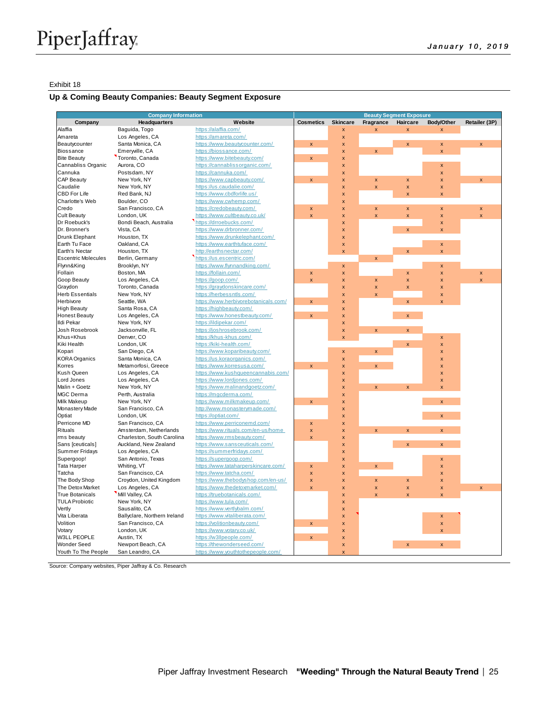#### Exhibit 18

## **Up & Coming Beauty Companies: Beauty Segment Exposure**

|                            | <b>Company Information</b>        |                                                               | <b>Beauty Segment Exposure</b> |                         |                         |                           |                              |                         |
|----------------------------|-----------------------------------|---------------------------------------------------------------|--------------------------------|-------------------------|-------------------------|---------------------------|------------------------------|-------------------------|
| Company                    | <b>Headquarters</b>               | Website                                                       | <b>Cosmetics</b>               | <b>Skincare</b>         | Fragrance               | Haircare                  | Body/Other                   | Retailer (3P)           |
| Alaffia                    | Baquida, Togo                     | https://alaffia.com/                                          |                                | $\pmb{\times}$          |                         | $\mathbf{x}$              |                              |                         |
| Amareta                    | Los Angeles, CA                   | https://amareta.com/                                          |                                | X                       |                         |                           |                              |                         |
| Beautycounter              | Santa Monica, CA                  | https://www.beautycounter.com/                                | $\mathsf{x}$                   | X                       |                         | X                         | x                            | $\pmb{\times}$          |
| <b>Biossance</b>           | Emerwille, CA                     | https://biossance.com/                                        |                                | $\pmb{\mathsf{x}}$      | $\mathsf{x}$            |                           | $\overline{\mathbf{x}}$      |                         |
| <b>Bite Beauty</b>         | Toronto, Canada                   | https://www.bitebeauty.com/                                   | $\pmb{\mathsf{x}}$             | $\pmb{\mathsf{x}}$      |                         |                           |                              |                         |
| Cannabliss Organic         | Aurora, CO                        | https://cannablissorganic.com/                                |                                | X                       |                         |                           | X                            |                         |
| Cannuka                    | Postsdam, NY                      | https://cannuka.com/                                          |                                | $\overline{\mathsf{x}}$ |                         |                           | x                            |                         |
| CAP Beauty                 | New York, NY                      | https://www.capbeauty.com/                                    | $\pmb{\mathsf{x}}$             | $\pmb{\mathsf{x}}$      | X                       | X                         | X                            | X                       |
| Caudalie                   | New York, NY                      | https://us.caudalie.com/                                      |                                | $\pmb{\mathsf{x}}$      | $\overline{\mathbf{x}}$ | $\pmb{\mathsf{x}}$        | x                            |                         |
| CBD For Life               | Red Bank, NJ                      | https://www.cbdforlife.us/                                    |                                | $\pmb{\mathsf{x}}$      |                         | $\overline{\mathbf{x}}$   | $\overline{\mathsf{x}}$      |                         |
| Charlotte's Web            | Boulder, CO                       | https://www.cwhemp.com/                                       |                                | $\overline{\mathsf{x}}$ |                         |                           |                              |                         |
| Credo                      | San Francisco, CA                 | https://credobeauty.com/                                      | x                              | X                       | X                       | X                         | x                            | X                       |
| <b>Cult Beauty</b>         | London, UK                        | https://www.cultbeauty.co.uk/                                 | $\mathbf{x}$                   | $\pmb{\mathsf{x}}$      | $\overline{\mathbf{x}}$ | $\pmb{\mathsf{x}}$        | $\pmb{\times}$               | $\overline{\mathbf{x}}$ |
| Dr Roebuck's               | Bondi Beach, Australia            | https://drroebucks.com/                                       |                                | $\pmb{\times}$          |                         |                           | x                            |                         |
| Dr. Bronner's              | Vista, CA                         | https://www.drbronner.com/                                    |                                | X                       |                         | $\pmb{\mathsf{x}}$        | $\mathbf{x}$                 |                         |
| Drunk Elephant             | Houston, TX                       | https://www.drunkelephant.com/                                |                                | X                       |                         |                           |                              |                         |
| Earth Tu Face              | Oakland, CA                       | https://www.earthtuface.com/                                  |                                | $\pmb{\mathsf{x}}$      |                         |                           | $\pmb{\mathsf{x}}$           |                         |
| Earth's Nectar             | Houston, TX                       | http://earthsnectar.com/                                      |                                | $\mathbf{x}$            |                         | $\mathbf{x}$              | $\overline{\mathbf{x}}$      |                         |
| <b>Escentric Molecules</b> | Berlin, Germany                   | https://us.escentric.com/                                     |                                |                         | $\pmb{\mathsf{x}}$      |                           |                              |                         |
| Flynn&King                 | Brooklyn, NY                      | https://www.flynnandking.com/                                 |                                | $\pmb{\mathsf{x}}$      |                         |                           | $\pmb{\times}$               |                         |
| Follain                    | Boston, MA                        | https://follain.com/                                          | X                              | $\overline{\mathsf{x}}$ |                         | $\boldsymbol{\mathsf{x}}$ | X                            | X                       |
| Goop Beauty                | Los Angeles, CA                   | https://goop.com/                                             | $\pmb{\mathsf{x}}$             | X                       | X                       | $\pmb{\mathsf{x}}$        | X                            | $\overline{\mathbf{x}}$ |
| Graydon                    | Toronto, Canada                   | https://graydonskincare.com/                                  |                                | X                       | X                       | $\boldsymbol{\mathsf{x}}$ | X                            |                         |
| <b>Herb Essentials</b>     | New York, NY                      | https://herbessntls.com/                                      |                                | $\pmb{\mathsf{x}}$      | $\mathbf{x}$            |                           | x                            |                         |
| Herbivore                  | Seattle, WA                       | https://www.herbivorebotanicals.com/                          | $\pmb{\times}$                 | $\overline{\mathsf{x}}$ |                         | $\pmb{\mathsf{x}}$        | x                            |                         |
| <b>High Beauty</b>         | Santa Rosa, CA                    | https://highbeauty.com/                                       |                                | X                       |                         |                           |                              |                         |
| <b>Honest Beauty</b>       | Los Angeles, CA                   | https://www.honestbeauty.com/                                 | $\pmb{\mathsf{x}}$             | $\overline{\mathsf{x}}$ |                         | $\mathbf{x}$              |                              |                         |
| Ildi Pekar                 | New York, NY                      | https://ildipekar.com/                                        |                                | $\overline{\mathsf{x}}$ |                         |                           |                              |                         |
| Josh Rosebrook             | Jacksonville, FL                  | https://joshrosebrook.com/                                    |                                | $\pmb{\mathsf{x}}$      | $\pmb{\times}$          | $\pmb{\mathsf{x}}$        |                              |                         |
| Khus+Khus                  | Denver, CO                        | https://khus-khus.com/                                        |                                |                         |                         |                           |                              |                         |
|                            | London, UK                        | https://kiki-health.com/                                      |                                | X                       |                         |                           | X                            |                         |
| Kiki Health<br>Kopari      |                                   |                                                               |                                |                         |                         | $\pmb{\mathsf{x}}$        | X<br>$\overline{\mathbf{x}}$ |                         |
|                            | San Diego, CA<br>Santa Monica, CA | https://www.koparibeauty.com/<br>https://us.koraorganics.com/ |                                | $\mathsf{x}$            | $\pmb{\times}$          |                           |                              |                         |
| <b>KORA</b> Organics       |                                   |                                                               |                                | $\overline{\mathsf{x}}$ |                         |                           | X                            |                         |
| Korres                     | Metamorfosi, Greece               | https://www.korresusa.com/                                    | $\pmb{\times}$                 | $\pmb{\mathsf{x}}$      | $\pmb{\times}$          |                           | X                            |                         |
| Kush Queen                 | Los Angeles, CA                   | https://www.kushqueencannabis.com/                            |                                | $\pmb{\mathsf{x}}$      |                         |                           | X                            |                         |
| Lord Jones                 | Los Angeles, CA                   | https://www.lordjones.com/                                    |                                | $\overline{\mathsf{x}}$ |                         |                           | X                            |                         |
| Malin + Goetz              | New York, NY                      | https://www.malinandqoetz.com/                                |                                | $\overline{\mathsf{x}}$ | $\mathbf{x}$            | $\mathbf{x}$              | $\overline{\mathbf{x}}$      |                         |
| <b>MGC Derma</b>           | Perth, Australia                  | https://mgcderma.com/                                         |                                | x                       |                         |                           |                              |                         |
| <b>Milk Makeup</b>         | New York, NY                      | https://www.milkmakeup.com/                                   | $\pmb{\mathsf{x}}$             | $\overline{\mathsf{x}}$ |                         |                           | $\pmb{\mathsf{x}}$           |                         |
| Monastery Made             | San Francisco, CA                 | http://www.monasterymade.com/                                 |                                | $\pmb{\mathsf{x}}$      |                         |                           |                              |                         |
| Optiat                     | London, UK                        | https://optiat.com/                                           |                                | $\overline{\mathsf{x}}$ |                         |                           | $\pmb{\mathsf{x}}$           |                         |
| Perricone MD               | San Francisco, CA                 | https://www.perriconemd.com/                                  | $\pmb{\mathsf{x}}$             | $\overline{\mathsf{x}}$ |                         |                           |                              |                         |
| Rituals                    | Amsterdam, Netherlands            | https://www.rituals.com/en-us/home                            | $\pmb{\mathsf{x}}$             | X                       | $\mathsf{x}$            | $\overline{\mathsf{x}}$   | x                            |                         |
| rms beauty                 | Charleston, South Carolina        | https://www.rmsbeauty.com/                                    | $\mathsf{x}$                   | X                       |                         |                           |                              |                         |
| Sans [ceuticals]           | Auckland, New Zealand             | https://www.sansceuticals.com/                                |                                | $\pmb{\mathsf{x}}$      |                         | $\pmb{\mathsf{x}}$        | $\pmb{\mathsf{x}}$           |                         |
| Summer Fridays             | Los Angeles, CA                   | https://summerfridays.com/                                    |                                | $\overline{\mathsf{x}}$ |                         |                           |                              |                         |
| Supergoop!                 | San Antonio, Texas                | https://supergoop.com/                                        |                                | $\overline{\mathsf{x}}$ |                         |                           | $\pmb{\times}$               |                         |
| <b>Tata Harper</b>         | Whiting, VT                       | https://www.tataharperskincare.com/                           | $\pmb{\times}$                 | X                       | $\overline{\mathsf{x}}$ |                           | X                            |                         |
| Tatcha                     | San Francisco, CA                 | https://www.tatcha.com/                                       | $\pmb{\mathsf{x}}$             | X                       |                         |                           | X                            |                         |
| The Body Shop              | Croydon, United Kingdom           | https://www.thebodyshop.com/en-us/                            | $\mathsf{x}$                   | X                       | X                       | $\pmb{\mathsf{x}}$        | X                            |                         |
| The Detox Market           | Los Angeles, CA                   | https://www.thedetoxmarket.com/                               | $\mathbf{x}$                   | $\overline{\mathsf{x}}$ | $\overline{\mathbf{x}}$ | $\pmb{\mathsf{x}}$        | X                            | $\pmb{\times}$          |
| <b>True Botanicals</b>     | Mill Valley, CA                   | https://truebotanicals.com/                                   |                                | X                       | $\mathbf{x}$            | $\overline{\mathbf{x}}$   | $\overline{\mathbf{x}}$      |                         |
| <b>TULA Probiotic</b>      | New York, NY                      | https://www.tula.com/                                         |                                | X                       |                         |                           |                              |                         |
| Vertly                     | Sausalito, CA                     | https://www.vertlybalm.com/                                   |                                | X                       |                         |                           |                              |                         |
| Vita Liberata              | Ballyclare, Northern Ireland      | https://www.vitaliberata.com/                                 |                                | $\pmb{\mathsf{x}}$      |                         |                           | X                            |                         |
| Volition                   | San Francisco, CA                 | https://volitionbeauty.com/                                   | $\pmb{\mathsf{x}}$             | $\mathsf{x}$            |                         |                           | $\overline{\mathsf{x}}$      |                         |
| Votary                     | London, UK                        | https://www.votary.co.uk/                                     |                                | X                       |                         |                           | x                            |                         |
| <b>W3LL PEOPLE</b>         | Austin, TX                        | https://w3llpeople.com/                                       | $\pmb{\mathsf{x}}$             | X                       |                         |                           |                              |                         |
| <b>Wonder Seed</b>         | Newport Beach, CA                 | https://thewonderseed.com/                                    |                                | $\pmb{\mathsf{x}}$      |                         | $\boldsymbol{\mathsf{x}}$ | x                            |                         |
| Youth To The People        | San Leandro, CA                   | https://www.youthtothepeople.com/                             |                                | $\mathbf{x}$            |                         |                           |                              |                         |
|                            |                                   |                                                               |                                |                         |                         |                           |                              |                         |

Source: Company websites, Piper Jaffray & Co. Research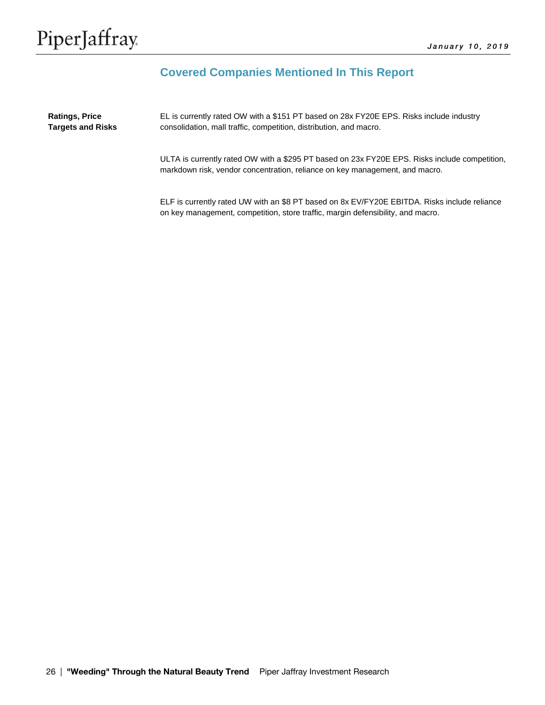# **Covered Companies Mentioned In This Report**

EL is currently rated OW with a \$151 PT based on 28x FY20E EPS. Risks include industry consolidation, mall traffic, competition, distribution, and macro. **Ratings, Price Targets and Risks**

> ULTA is currently rated OW with a \$295 PT based on 23x FY20E EPS. Risks include competition, markdown risk, vendor concentration, reliance on key management, and macro.

ELF is currently rated UW with an \$8 PT based on 8x EV/FY20E EBITDA. Risks include reliance on key management, competition, store traffic, margin defensibility, and macro.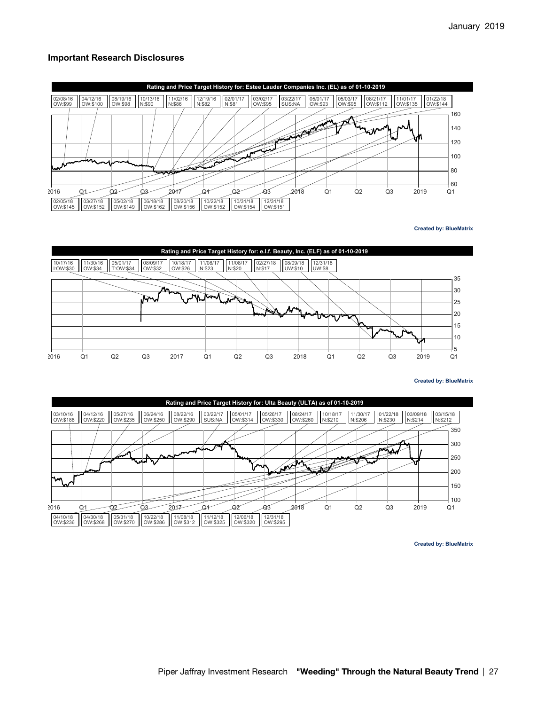## **Important Research Disclosures**



**Created by: BlueMatrix**



**Created by: BlueMatrix**



**Created by: BlueMatrix**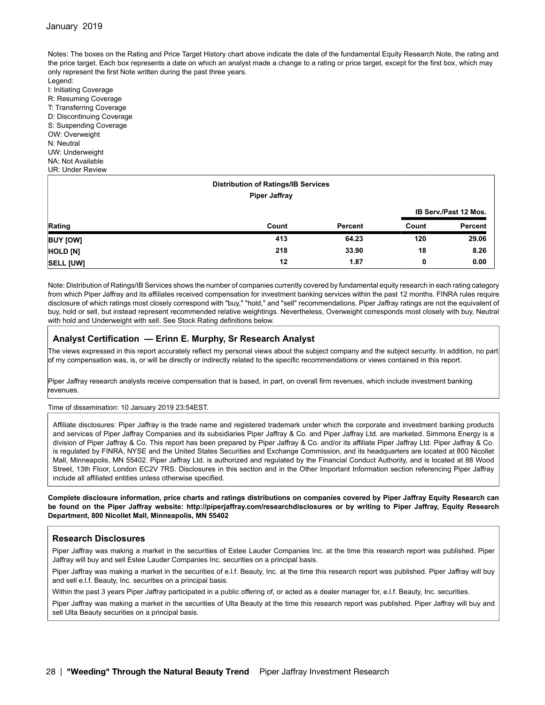Notes: The boxes on the Rating and Price Target History chart above indicate the date of the fundamental Equity Research Note, the rating and the price target. Each box represents a date on which an analyst made a change to a rating or price target, except for the first box, which may only represent the first Note written during the past three years.

Legend: I: Initiating Coverage R: Resuming Coverage T: Transferring Coverage D: Discontinuing Coverage S: Suspending Coverage OW: Overweight N: Neutral UW: Underweight NA: Not Available UR: Under Review

| <b>Distribution of Ratings/IB Services</b><br><b>Piper Jaffray</b> |       |         |                       |         |  |  |  |  |
|--------------------------------------------------------------------|-------|---------|-----------------------|---------|--|--|--|--|
|                                                                    |       |         | IB Serv./Past 12 Mos. |         |  |  |  |  |
| Rating                                                             | Count | Percent | Count                 | Percent |  |  |  |  |
| <b>BUY [OW]</b>                                                    | 413   | 64.23   | 120                   | 29.06   |  |  |  |  |
| HOLD [N]                                                           | 218   | 33.90   | 18                    | 8.26    |  |  |  |  |
| <b>SELL [UW]</b>                                                   | 12    | 1.87    | 0                     | 0.00    |  |  |  |  |

Note: Distribution of Ratings/IB Services shows the number of companies currently covered by fundamental equity research in each rating category from which Piper Jaffray and its affiliates received compensation for investment banking services within the past 12 months. FINRA rules require disclosure of which ratings most closely correspond with "buy," "hold," and "sell" recommendations. Piper Jaffray ratings are not the equivalent of buy, hold or sell, but instead represent recommended relative weightings. Nevertheless, Overweight corresponds most closely with buy, Neutral with hold and Underweight with sell. See Stock Rating definitions below.

#### **Analyst Certification — Erinn E. Murphy, Sr Research Analyst**

The views expressed in this report accurately reflect my personal views about the subject company and the subject security. In addition, no part of my compensation was, is, or will be directly or indirectly related to the specific recommendations or views contained in this report.

Piper Jaffray research analysts receive compensation that is based, in part, on overall firm revenues, which include investment banking revenues.

Time of dissemination: 10 January 2019 23:54EST.

Affiliate disclosures: Piper Jaffray is the trade name and registered trademark under which the corporate and investment banking products and services of Piper Jaffray Companies and its subsidiaries Piper Jaffray & Co. and Piper Jaffray Ltd. are marketed. Simmons Energy is a division of Piper Jaffray & Co. This report has been prepared by Piper Jaffray & Co. and/or its affiliate Piper Jaffray Ltd. Piper Jaffray & Co. is regulated by FINRA, NYSE and the United States Securities and Exchange Commission, and its headquarters are located at 800 Nicollet Mall, Minneapolis, MN 55402. Piper Jaffray Ltd. is authorized and regulated by the Financial Conduct Authority, and is located at 88 Wood Street, 13th Floor, London EC2V 7RS. Disclosures in this section and in the Other Important Information section referencing Piper Jaffray include all affiliated entities unless otherwise specified.

**Complete disclosure information, price charts and ratings distributions on companies covered by Piper Jaffray Equity Research can be found on the Piper Jaffray website: <http://piperjaffray.com/researchdisclosures>or by writing to Piper Jaffray, Equity Research Department, 800 Nicollet Mall, Minneapolis, MN 55402**

## **Research Disclosures**

Piper Jaffray was making a market in the securities of Estee Lauder Companies Inc. at the time this research report was published. Piper Jaffray will buy and sell Estee Lauder Companies Inc. securities on a principal basis.

Piper Jaffray was making a market in the securities of e.l.f. Beauty, Inc. at the time this research report was published. Piper Jaffray will buy and sell e.l.f. Beauty, Inc. securities on a principal basis.

Within the past 3 years Piper Jaffray participated in a public offering of, or acted as a dealer manager for, e.l.f. Beauty, Inc. securities.

Piper Jaffray was making a market in the securities of Ulta Beauty at the time this research report was published. Piper Jaffray will buy and sell Ulta Beauty securities on a principal basis.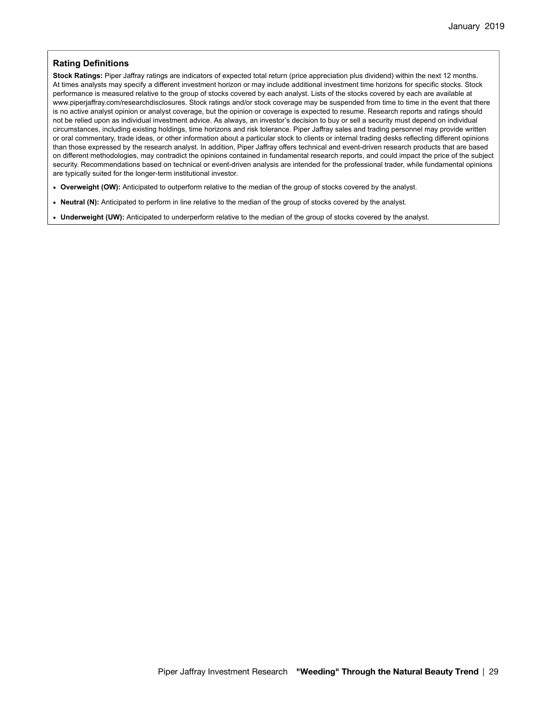## **Rating Definitions**

**Stock Ratings:** Piper Jaffray ratings are indicators of expected total return (price appreciation plus dividend) within the next 12 months. At times analysts may specify a different investment horizon or may include additional investment time horizons for specific stocks. Stock performance is measured relative to the group of stocks covered by each analyst. Lists of the stocks covered by each are available at www.piperjaffray.com/researchdisclosures. Stock ratings and/or stock coverage may be suspended from time to time in the event that there is no active analyst opinion or analyst coverage, but the opinion or coverage is expected to resume. Research reports and ratings should not be relied upon as individual investment advice. As always, an investor's decision to buy or sell a security must depend on individual circumstances, including existing holdings, time horizons and risk tolerance. Piper Jaffray sales and trading personnel may provide written or oral commentary, trade ideas, or other information about a particular stock to clients or internal trading desks reflecting different opinions than those expressed by the research analyst. In addition, Piper Jaffray offers technical and event-driven research products that are based on different methodologies, may contradict the opinions contained in fundamental research reports, and could impact the price of the subject security. Recommendations based on technical or event-driven analysis are intended for the professional trader, while fundamental opinions are typically suited for the longer-term institutional investor.

- **Overweight (OW):** Anticipated to outperform relative to the median of the group of stocks covered by the analyst.
- **Neutral (N):** Anticipated to perform in line relative to the median of the group of stocks covered by the analyst.
- **Underweight (UW):** Anticipated to underperform relative to the median of the group of stocks covered by the analyst.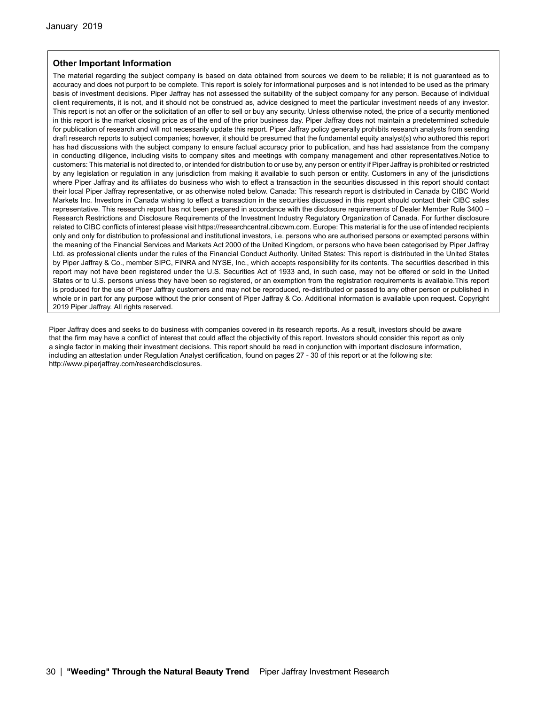## **Other Important Information**

The material regarding the subject company is based on data obtained from sources we deem to be reliable; it is not guaranteed as to accuracy and does not purport to be complete. This report is solely for informational purposes and is not intended to be used as the primary basis of investment decisions. Piper Jaffray has not assessed the suitability of the subject company for any person. Because of individual client requirements, it is not, and it should not be construed as, advice designed to meet the particular investment needs of any investor. This report is not an offer or the solicitation of an offer to sell or buy any security. Unless otherwise noted, the price of a security mentioned in this report is the market closing price as of the end of the prior business day. Piper Jaffray does not maintain a predetermined schedule for publication of research and will not necessarily update this report. Piper Jaffray policy generally prohibits research analysts from sending draft research reports to subject companies; however, it should be presumed that the fundamental equity analyst(s) who authored this report has had discussions with the subject company to ensure factual accuracy prior to publication, and has had assistance from the company in conducting diligence, including visits to company sites and meetings with company management and other representatives.Notice to customers: This material is not directed to, or intended for distribution to or use by, any person or entity if Piper Jaffray is prohibited or restricted by any legislation or regulation in any jurisdiction from making it available to such person or entity. Customers in any of the jurisdictions where Piper Jaffray and its affiliates do business who wish to effect a transaction in the securities discussed in this report should contact their local Piper Jaffray representative, or as otherwise noted below. Canada: This research report is distributed in Canada by CIBC World Markets Inc. Investors in Canada wishing to effect a transaction in the securities discussed in this report should contact their CIBC sales representative. This research report has not been prepared in accordance with the disclosure requirements of Dealer Member Rule 3400 – Research Restrictions and Disclosure Requirements of the Investment Industry Regulatory Organization of Canada. For further disclosure related to CIBC conflicts of interest please visit https://researchcentral.cibcwm.com. Europe: This material is for the use of intended recipients only and only for distribution to professional and institutional investors, i.e. persons who are authorised persons or exempted persons within the meaning of the Financial Services and Markets Act 2000 of the United Kingdom, or persons who have been categorised by Piper Jaffray Ltd. as professional clients under the rules of the Financial Conduct Authority. United States: This report is distributed in the United States by Piper Jaffray & Co., member SIPC, FINRA and NYSE, Inc., which accepts responsibility for its contents. The securities described in this report may not have been registered under the U.S. Securities Act of 1933 and, in such case, may not be offered or sold in the United States or to U.S. persons unless they have been so registered, or an exemption from the registration requirements is available.This report is produced for the use of Piper Jaffray customers and may not be reproduced, re-distributed or passed to any other person or published in whole or in part for any purpose without the prior consent of Piper Jaffray & Co. Additional information is available upon request. Copyright 2019 Piper Jaffray. All rights reserved.

Piper Jaffray does and seeks to do business with companies covered in its research reports. As a result, investors should be aware that the firm may have a conflict of interest that could affect the objectivity of this report. Investors should consider this report as only a single factor in making their investment decisions. This report should be read in conjunction with important disclosure information, including an attestation under Regulation Analyst certification, found on pages 27 - 30 of this report or at the following site: http://www.piperjaffray.com/researchdisclosures.